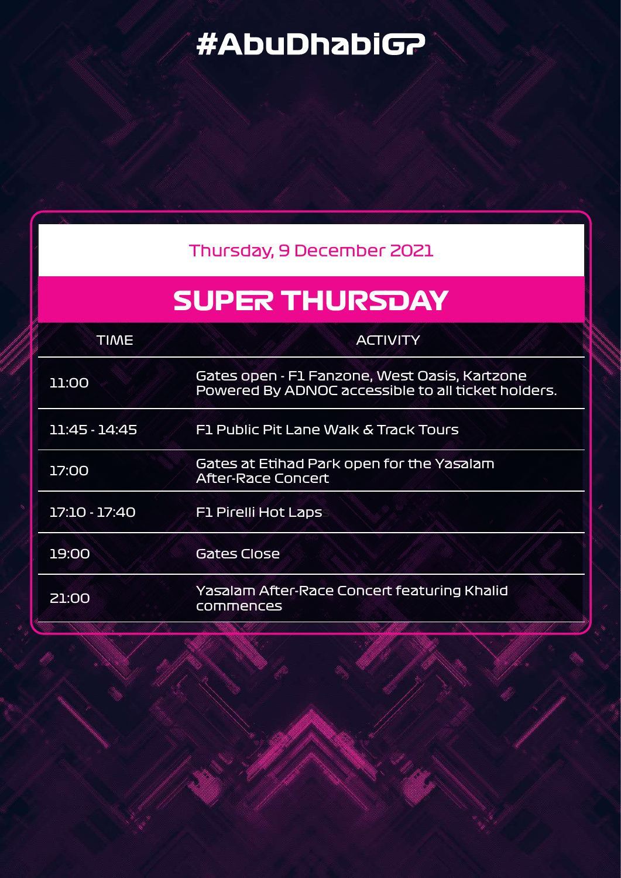# #AbuDhabiG?

| Thursday, 9 December 2021                                                                           |
|-----------------------------------------------------------------------------------------------------|
| <b>SUPER THURSDAY</b>                                                                               |
| <b>ACTIVITY</b>                                                                                     |
| Gates open - F1 Fanzone, West Oasis, Kartzone<br>Powered By ADNOC accessible to all ticket holders. |
| F1 Public Pit Lane Walk & Track Tours                                                               |
| Gates at Etihad Park open for the Yasalam<br><b>After-Race Concert</b>                              |
| <b>F1 Pirelli Hot Laps</b>                                                                          |
| <b>Gates Close</b>                                                                                  |
| Yasalam After-Race Concert featuring Khalid<br>commences                                            |
|                                                                                                     |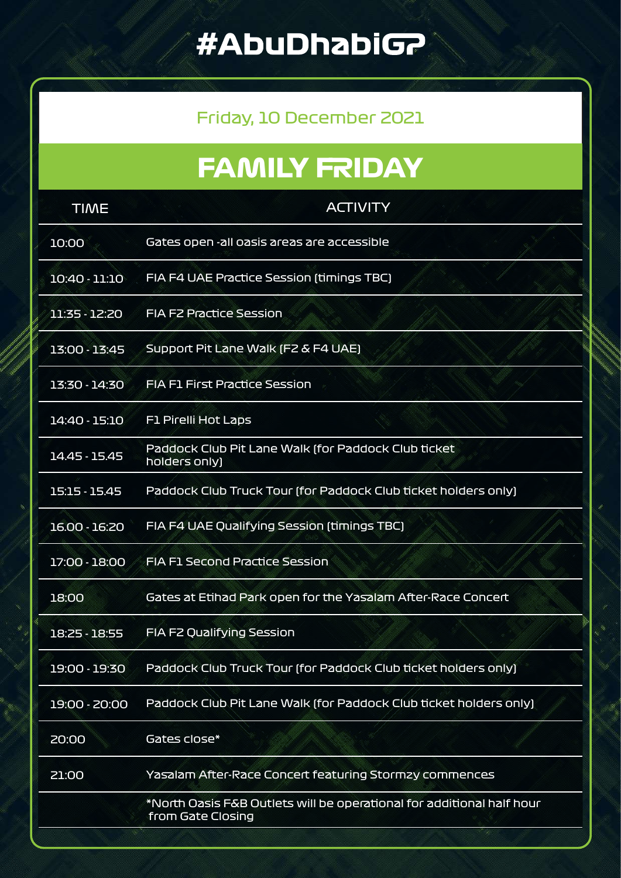# #AbuDhabiGP

#### Friday, 10 December 2021

# **FAMILY FRIDAY**

| <b>TIME</b>   | <b>ACTIVITY</b>                                                                            |  |
|---------------|--------------------------------------------------------------------------------------------|--|
| 10:00         | Gates open -all oasis areas are accessible                                                 |  |
| 10:40 - 11:10 | FIA F4 UAE Practice Session (timings TBC)                                                  |  |
| 11:35 - 12:20 | <b>FIA F2 Practice Session</b>                                                             |  |
| 13:00 - 13:45 | Support Pit Lane Walk (F2 & F4 UAE)                                                        |  |
| 13:30 - 14:30 | <b>FIA F1 First Practice Session</b>                                                       |  |
| 14:40 - 15:10 | <b>F1 Pirelli Hot Laps</b>                                                                 |  |
| 14.45 - 15.45 | Paddock Club Pit Lane Walk (for Paddock Club ticket<br>holders only)                       |  |
| 15:15 - 15.45 | Paddock Club Truck Tour (for Paddock Club ticket holders only)                             |  |
| 16.00 - 16:20 | FIA F4 UAE Qualifying Session (timings TBC)                                                |  |
| 17:00 - 18:00 | <b>FIA F1 Second Practice Session</b>                                                      |  |
| 18:00         | Gates at Etihad Park open for the Yasalam After-Race Concert                               |  |
| 18:25 - 18:55 | FIA F2 Qualifying Session                                                                  |  |
| 19:00 - 19:30 | Paddock Club Truck Tour (for Paddock Club ticket holders only)                             |  |
| 19:00 - 20:00 | Paddock Club Pit Lane Walk (for Paddock Club ticket holders only)                          |  |
| <b>20:00</b>  | Gates close*                                                                               |  |
| 21:00         | Yasalam After-Race Concert featuring Stormzy commences                                     |  |
|               | *North Oasis F&B Outlets will be operational for additional half hour<br>from Gate Closing |  |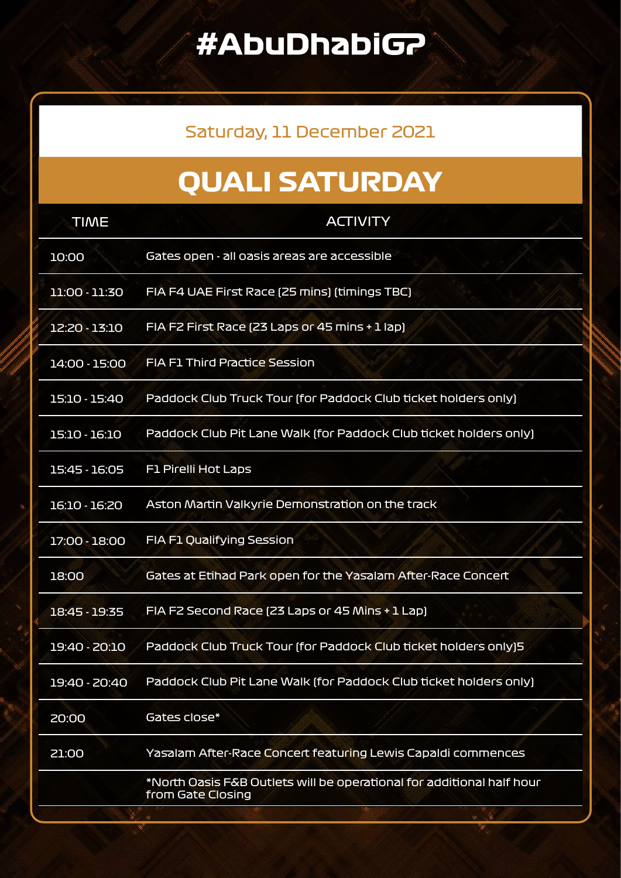### **#AbuDhabiGP**

#### Saturday, 11 December 2021

# **QUALI SATURDAY**

| <b>TIME</b>   | <b>ACTIVITY</b>                                                                            |
|---------------|--------------------------------------------------------------------------------------------|
| 10:00         | Gates open - all oasis areas are accessible                                                |
| 11:00 - 11:30 | FIA F4 UAE First Race (25 mins) (timings TBC)                                              |
| 12:20 - 13:10 | FIA F2 First Race (23 Laps or 45 mins + 1 lap)                                             |
| 14:00 - 15:00 | <b>FIA F1 Third Practice Session</b>                                                       |
| 15:10 - 15:40 | Paddock Club Truck Tour (for Paddock Club ticket holders only)                             |
| 15:10 - 16:10 | Paddock Club Pit Lane Walk (for Paddock Club ticket holders only)                          |
| 15:45 - 16:05 | <b>F1 Pirelli Hot Laps</b>                                                                 |
| 16:10 - 16:20 | Aston Martin Valkyrie Demonstration on the track                                           |
| 17:00 - 18:00 | FIA F1 Qualifying Session                                                                  |
| 18:00         | Gates at Etihad Park open for the Yasalam After-Race Concert                               |
| 18:45 - 19:35 | FIA F2 Second Race (23 Laps or 45 Mins + 1 Lap)                                            |
| 19:40 - 20:10 | Paddock Club Truck Tour (for Paddock Club ticket holders only)5                            |
| 19:40 - 20:40 | Paddock Club Pit Lane Walk (for Paddock Club ticket holders only)                          |
| 20:00         | Gates close*                                                                               |
| 21:00         | Yasalam After-Race Concert featuring Lewis Capaldi commences                               |
|               | *North Oasis F&B Outlets will be operational for additional half hour<br>from Gate Closing |